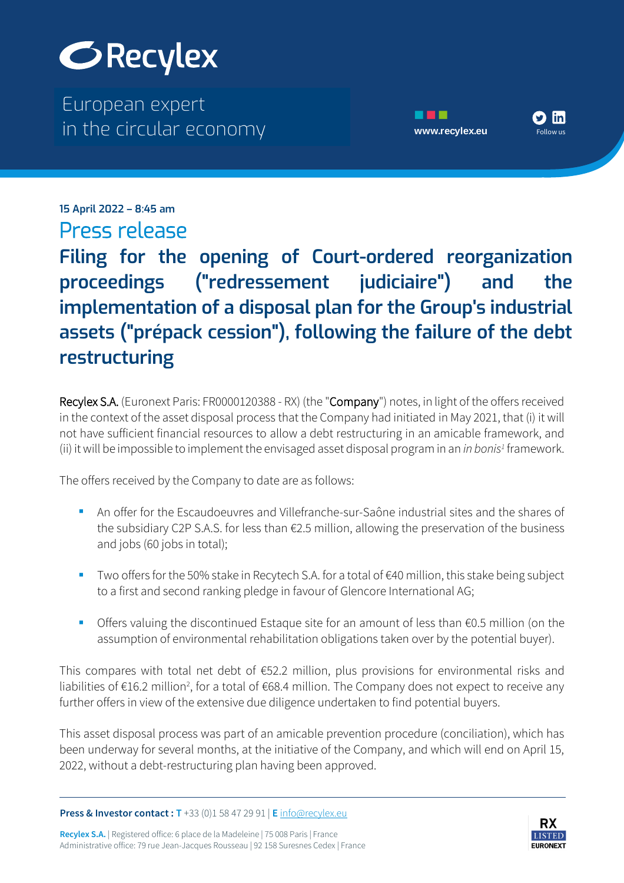

The European expert European expert in the circular economy **[www.recylex.eu](https://www.recylex.eu)** in the circular economy



 $\mathbf{H}$  and  $\mathbf{H}$  is the European expert of  $\mathbf{H}$ **15 April 2022 – 8:45 am** Press release

in the circular economy  $\mathcal{C}$ . Europe www.recylex.europe www.recylex.europe www.recylex.europe www.recylex.eu **Filing for the opening of Court-ordered reorganization proceedings ("redressement judiciaire") and the implementation of a disposal plan for the Group's industrial assets ("prépack cession"), following the failure of the debt restructuring**

Recylex S.A. (Euronext Paris: FR0000120388 - RX) (the "Company") notes, in light of the offers received in the context of the asset disposal process that the Company had initiated in May 2021, that (i) it will not have sufficient financial resources to allow a debt restructuring in an amicable framework, and (ii) it will be impossible to implement the envisaged asset disposal program in an *in bonis<sup>1</sup>* framework.

The offers received by the Company to date are as follows:

- An offer for the Escaudoeuvres and Villefranche-sur-Saône industrial sites and the shares of the subsidiary C2P S.A.S. for less than €2.5 million, allowing the preservation of the business and jobs (60 jobs in total);
- Two offers for the 50% stake in Recytech S.A. for a total of €40 million, this stake being subject to a first and second ranking pledge in favour of Glencore International AG;
- Offers valuing the discontinued Estaque site for an amount of less than €0.5 million (on the assumption of environmental rehabilitation obligations taken over by the potential buyer).

This compares with total net debt of €52.2 million, plus provisions for environmental risks and liabilities of €16.2 million<sup>2</sup>, for a total of €68.4 million. The Company does not expect to receive any further offers in view of the extensive due diligence undertaken to find potential buyers.

This asset disposal process was part of an amicable prevention procedure (conciliation), which has been underway for several months, at the initiative of the Company, and which will end on April 15, 2022, without a debt-restructuring plan having been approved.

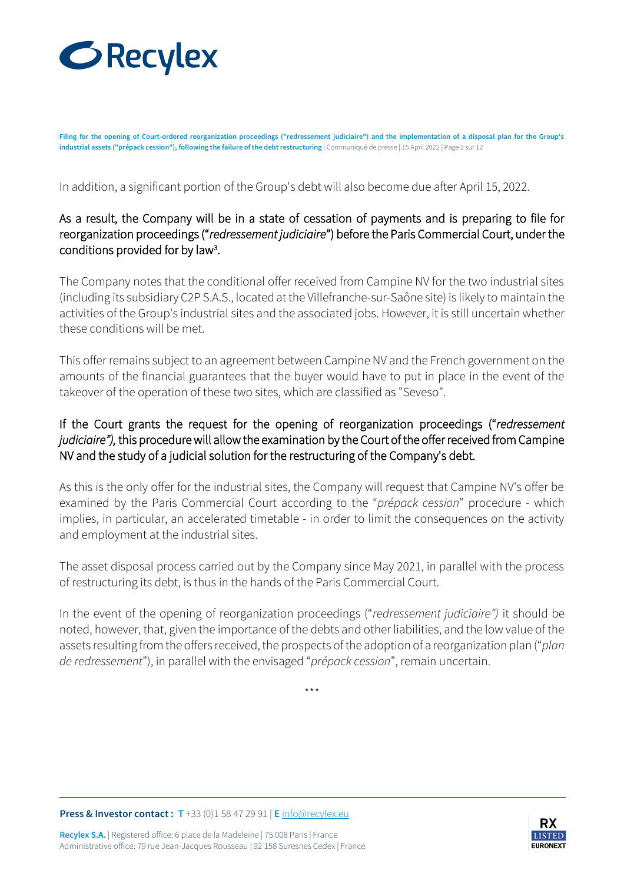

**Filing for the opening of Court-ordered reorganization proceedings ("redressement judiciaire") and the implementation of a disposal plan for the Group's industrial assets ("prépack cession"), following the failure of the debt restructuring** | Communiqué de presse | 15 April 2022 | Page 2 sur 12

In addition, a significant portion of the Group's debt will also become due after April 15, 2022.

## As a result, the Company will be in a state of cessation of payments and is preparing to file for reorganization proceedings ("*redressement judiciaire*") before the Paris Commercial Court, under the conditions provided for by law<sup>3</sup> .

The Company notes that the conditional offer received from Campine NV for the two industrial sites (including its subsidiary C2P S.A.S., located at the Villefranche-sur-Saône site) is likely to maintain the activities of the Group's industrial sites and the associated jobs. However, it is still uncertain whether these conditions will be met.

This offer remains subject to an agreement between Campine NV and the French government on the amounts of the financial guarantees that the buyer would have to put in place in the event of the takeover of the operation of these two sites, which are classified as "Seveso".

## If the Court grants the request for the opening of reorganization proceedings ("*redressement judiciaire"),* this procedure will allow the examination by the Court of the offer received from Campine NV and the study of a judicial solution for the restructuring of the Company's debt.

As this is the only offer for the industrial sites, the Company will request that Campine NV's offer be examined by the Paris Commercial Court according to the "*prépack cession*" procedure - which implies, in particular, an accelerated timetable - in order to limit the consequences on the activity and employment at the industrial sites.

The asset disposal process carried out by the Company since May 2021, in parallel with the process of restructuring its debt, is thus in the hands of the Paris Commercial Court.

In the event of the opening of reorganization proceedings ("*redressement judiciaire")* it should be noted, however, that, given the importance of the debts and other liabilities, and the low value of the assets resulting from the offers received, the prospects of the adoption of a reorganization plan ("*plan de redressement*"), in parallel with the envisaged "*prépack cession*", remain uncertain.

\*\*\*

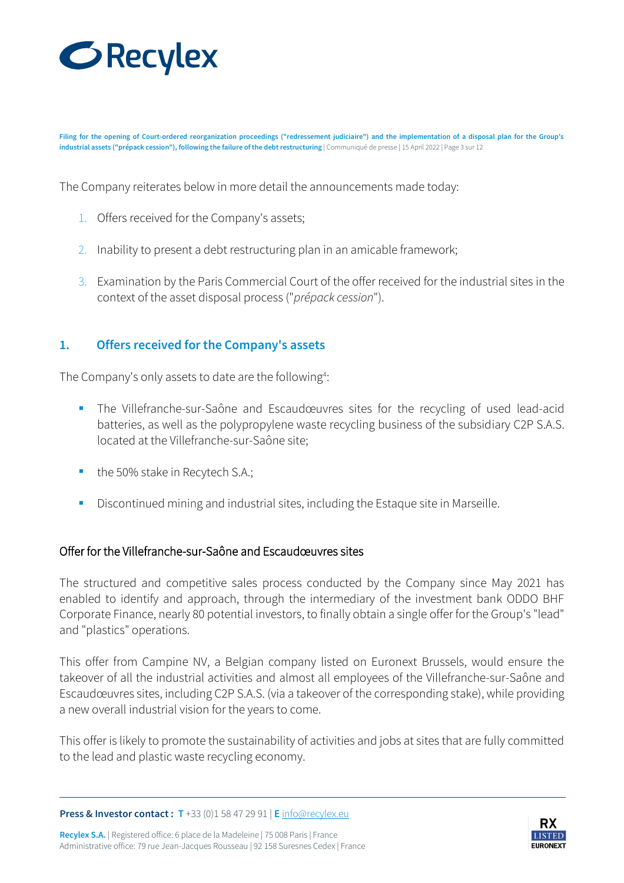

**Filing for the opening of Court-ordered reorganization proceedings ("redressement judiciaire") and the implementation of a disposal plan for the Group's industrial assets ("prépack cession"), following the failure of the debt restructuring** | Communiqué de presse | 15 April 2022 | Page 3 sur 12

The Company reiterates below in more detail the announcements made today:

- 1. Offers received for the Company's assets;
- 2. Inability to present a debt restructuring plan in an amicable framework;
- 3. Examination by the Paris Commercial Court of the offer received for the industrial sites in the context of the asset disposal process ("*prépack cession*").

#### **1. Offers received for the Company's assets**

The Company's only assets to date are the following<sup>4</sup>:

- The Villefranche-sur-Saône and Escaudœuvres sites for the recycling of used lead-acid batteries, as well as the polypropylene waste recycling business of the subsidiary C2P S.A.S. located at the Villefranche-sur-Saône site;
- the 50% stake in Recytech S.A.;
- Discontinued mining and industrial sites, including the Estaque site in Marseille.

#### Offer for the Villefranche-sur-Saône and Escaudœuvres sites

The structured and competitive sales process conducted by the Company since May 2021 has enabled to identify and approach, through the intermediary of the investment bank ODDO BHF Corporate Finance, nearly 80 potential investors, to finally obtain a single offer for the Group's "lead" and "plastics" operations.

This offer from Campine NV, a Belgian company listed on Euronext Brussels, would ensure the takeover of all the industrial activities and almost all employees of the Villefranche-sur-Saône and Escaudœuvres sites, including C2P S.A.S. (via a takeover of the corresponding stake), while providing a new overall industrial vision for the years to come.

This offer is likely to promote the sustainability of activities and jobs at sites that are fully committed to the lead and plastic waste recycling economy.

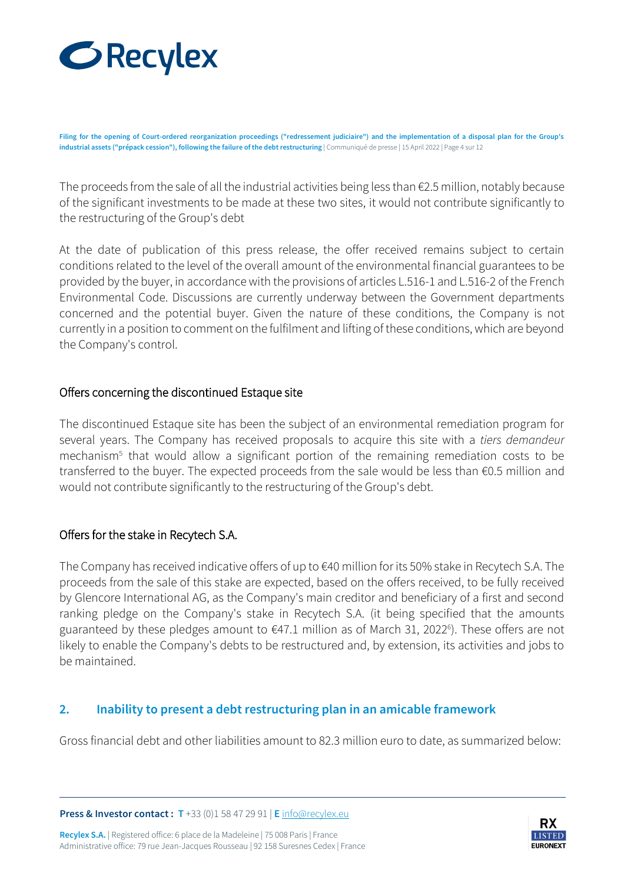

**Filing for the opening of Court-ordered reorganization proceedings ("redressement judiciaire") and the implementation of a disposal plan for the Group's industrial assets ("prépack cession"), following the failure of the debt restructuring** | Communiqué de presse | 15 April 2022 | Page 4 sur 12

The proceeds from the sale of all the industrial activities being less than €2.5 million, notably because of the significant investments to be made at these two sites, it would not contribute significantly to the restructuring of the Group's debt

At the date of publication of this press release, the offer received remains subject to certain conditions related to the level of the overall amount of the environmental financial guarantees to be provided by the buyer, in accordance with the provisions of articles L.516-1 and L.516-2 of the French Environmental Code. Discussions are currently underway between the Government departments concerned and the potential buyer. Given the nature of these conditions, the Company is not currently in a position to comment on the fulfilment and lifting of these conditions, which are beyond the Company's control.

#### Offers concerning the discontinued Estaque site

The discontinued Estaque site has been the subject of an environmental remediation program for several years. The Company has received proposals to acquire this site with a *tiers demandeur* mechanism<sup>5</sup> that would allow a significant portion of the remaining remediation costs to be transferred to the buyer. The expected proceeds from the sale would be less than €0.5 million and would not contribute significantly to the restructuring of the Group's debt.

## Offers for the stake in Recytech S.A.

The Company has received indicative offers of up to €40 million for its 50% stake in Recytech S.A. The proceeds from the sale of this stake are expected, based on the offers received, to be fully received by Glencore International AG, as the Company's main creditor and beneficiary of a first and second ranking pledge on the Company's stake in Recytech S.A. (it being specified that the amounts guaranteed by these pledges amount to €47.1 million as of March 31, 2022<sup>6</sup>). These offers are not likely to enable the Company's debts to be restructured and, by extension, its activities and jobs to be maintained.

## **2. Inability to present a debt restructuring plan in an amicable framework**

Gross financial debt and other liabilities amount to 82.3 million euro to date, as summarized below:

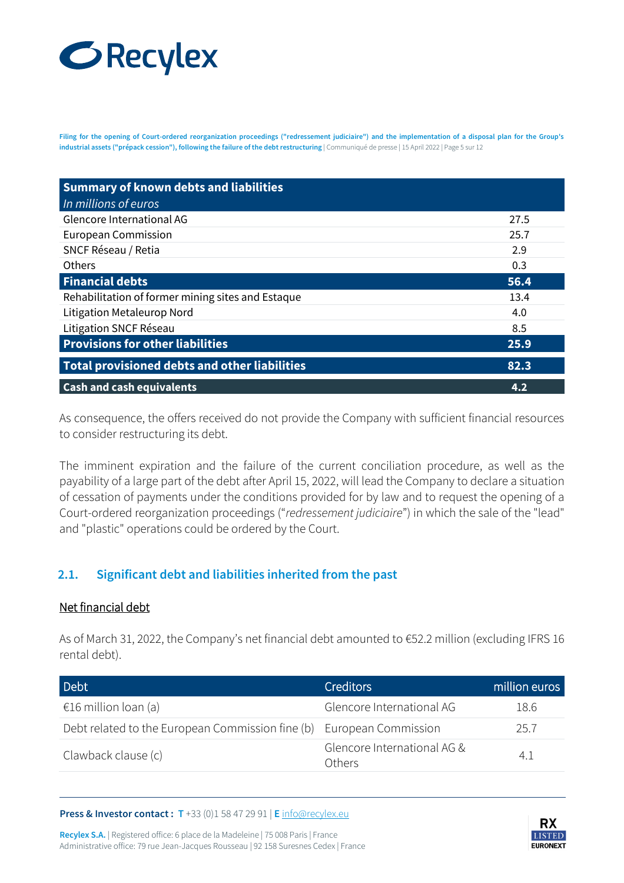# **GRecylex**

**Filing for the opening of Court-ordered reorganization proceedings ("redressement judiciaire") and the implementation of a disposal plan for the Group's industrial assets ("prépack cession"), following the failure of the debt restructuring** | Communiqué de presse | 15 April 2022 | Page 5 sur 12

| <b>Summary of known debts and liabilities</b>        |      |
|------------------------------------------------------|------|
| In millions of euros                                 |      |
| Glencore International AG                            | 27.5 |
| <b>European Commission</b>                           | 25.7 |
| SNCF Réseau / Retia                                  | 2.9  |
| <b>Others</b>                                        | 0.3  |
| <b>Financial debts</b>                               | 56.4 |
| Rehabilitation of former mining sites and Estaque    | 13.4 |
| Litigation Metaleurop Nord                           | 4.0  |
| Litigation SNCF Réseau                               | 8.5  |
| <b>Provisions for other liabilities</b>              | 25.9 |
| <b>Total provisioned debts and other liabilities</b> | 82.3 |
| <b>Cash and cash equivalents</b>                     | 4.2  |

As consequence, the offers received do not provide the Company with sufficient financial resources to consider restructuring its debt.

The imminent expiration and the failure of the current conciliation procedure, as well as the payability of a large part of the debt after April 15, 2022, will lead the Company to declare a situation of cessation of payments under the conditions provided for by law and to request the opening of a Court-ordered reorganization proceedings ("*redressement judiciaire*") in which the sale of the "lead" and "plastic" operations could be ordered by the Court.

## **2.1. Significant debt and liabilities inherited from the past**

#### Net financial debt

As of March 31, 2022, the Company's net financial debt amounted to €52.2 million (excluding IFRS 16 rental debt).

| Debt                                                                 | <b>Creditors</b>                      | million euros |
|----------------------------------------------------------------------|---------------------------------------|---------------|
| €16 million loan (a)                                                 | Glencore International AG             | 18.6          |
| Debt related to the European Commission fine (b) European Commission |                                       | 25.7          |
| Clawback clause (c)                                                  | Glencore International AG &<br>Others |               |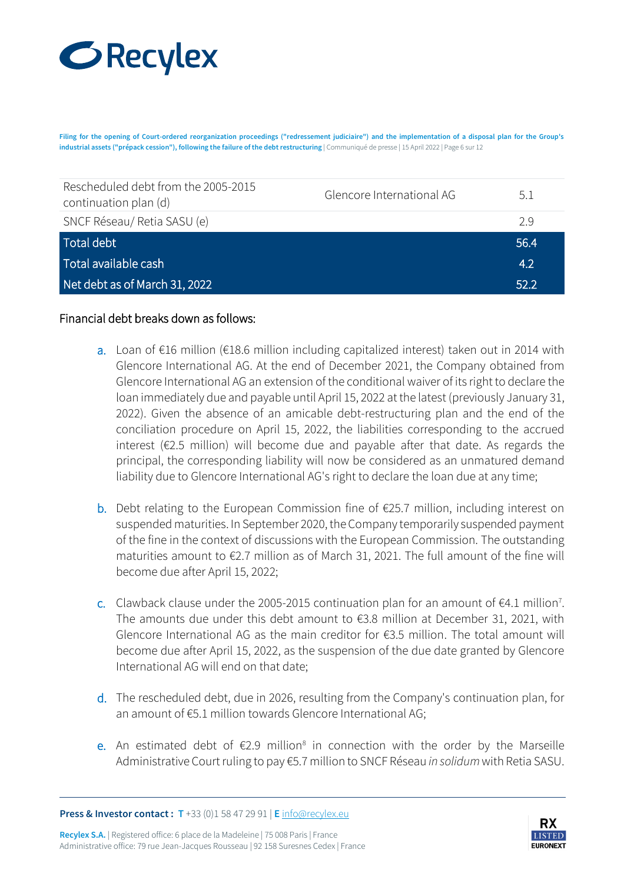## **GRecylex**

**Filing for the opening of Court-ordered reorganization proceedings ("redressement judiciaire") and the implementation of a disposal plan for the Group's industrial assets ("prépack cession"), following the failure of the debt restructuring** | Communiqué de presse | 15 April 2022 | Page 6 sur 12

| Rescheduled debt from the 2005-2015<br>continuation plan (d) | Glencore International AG | 5.1              |
|--------------------------------------------------------------|---------------------------|------------------|
| SNCF Réseau/ Retia SASU (e)                                  |                           | 29               |
| Total debt                                                   |                           | 56.4             |
| Total available cash                                         |                           | 4.2 <sup>°</sup> |
| Net debt as of March 31, 2022                                |                           | 52.2             |

#### Financial debt breaks down as follows:

- a. Loan of €16 million (€18.6 million including capitalized interest) taken out in 2014 with Glencore International AG. At the end of December 2021, the Company obtained from Glencore International AG an extension of the conditional waiver of its right to declare the loan immediately due and payable until April 15, 2022 at the latest (previously January 31, 2022). Given the absence of an amicable debt-restructuring plan and the end of the conciliation procedure on April 15, 2022, the liabilities corresponding to the accrued interest (€2.5 million) will become due and payable after that date. As regards the principal, the corresponding liability will now be considered as an unmatured demand liability due to Glencore International AG's right to declare the loan due at any time;
- **b.** Debt relating to the European Commission fine of €25.7 million, including interest on suspended maturities. In September 2020, the Company temporarily suspended payment of the fine in the context of discussions with the European Commission. The outstanding maturities amount to €2.7 million as of March 31, 2021. The full amount of the fine will become due after April 15, 2022;
- c. Clawback clause under the 2005-2015 continuation plan for an amount of  $\epsilon$ 4.1 million<sup>7</sup>. The amounts due under this debt amount to  $\epsilon$ 3.8 million at December 31, 2021, with Glencore International AG as the main creditor for €3.5 million. The total amount will become due after April 15, 2022, as the suspension of the due date granted by Glencore International AG will end on that date;
- d. The rescheduled debt, due in 2026, resulting from the Company's continuation plan, for an amount of €5.1 million towards Glencore International AG;
- e. An estimated debt of €2.9 million<sup>8</sup> in connection with the order by the Marseille Administrative Court ruling to pay €5.7 million to SNCF Réseau *in solidum* with Retia SASU.

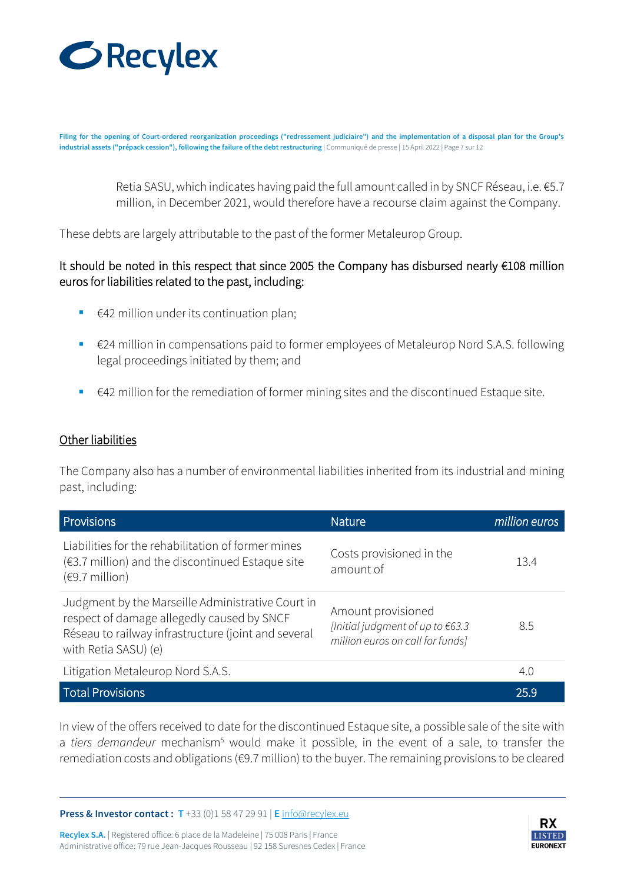

**Filing for the opening of Court-ordered reorganization proceedings ("redressement judiciaire") and the implementation of a disposal plan for the Group's industrial assets ("prépack cession"), following the failure of the debt restructuring** | Communiqué de presse | 15 April 2022 | Page 7 sur 12

> Retia SASU, which indicates having paid the full amount called in by SNCF Réseau, i.e. €5.7 million, in December 2021, would therefore have a recourse claim against the Company.

These debts are largely attributable to the past of the former Metaleurop Group.

## It should be noted in this respect that since 2005 the Company has disbursed nearly €108 million euros for liabilities related to the past, including:

- $€42$  million under its continuation plan;
- €24 million in compensations paid to former employees of Metaleurop Nord S.A.S. following legal proceedings initiated by them; and
- $\in$  42 million for the remediation of former mining sites and the discontinued Estaque site.

#### Other liabilities

The Company also has a number of environmental liabilities inherited from its industrial and mining past, including:

| <b>Provisions</b>                                                                                                                                                              | <b>Nature</b>                                                                              | million euros |
|--------------------------------------------------------------------------------------------------------------------------------------------------------------------------------|--------------------------------------------------------------------------------------------|---------------|
| Liabilities for the rehabilitation of former mines<br>$(63.7)$ million) and the discontinued Estaque site<br>$(69.7 \text{ million})$                                          | Costs provisioned in the<br>amount of                                                      | 13.4          |
| Judgment by the Marseille Administrative Court in<br>respect of damage allegedly caused by SNCF<br>Réseau to railway infrastructure (joint and several<br>with Retia SASU) (e) | Amount provisioned<br>[Initial judgment of up to €63.3<br>million euros on call for funds] | 8.5           |
| Litigation Metaleurop Nord S.A.S.                                                                                                                                              |                                                                                            | 4.0           |
| <b>Total Provisions</b>                                                                                                                                                        |                                                                                            | 25.9          |

In view of the offers received to date for the discontinued Estaque site, a possible sale of the site with a *tiers demandeur* mechanism<sup>5</sup> would make it possible, in the event of a sale, to transfer the remediation costs and obligations (€9.7 million) to the buyer. The remaining provisions to be cleared

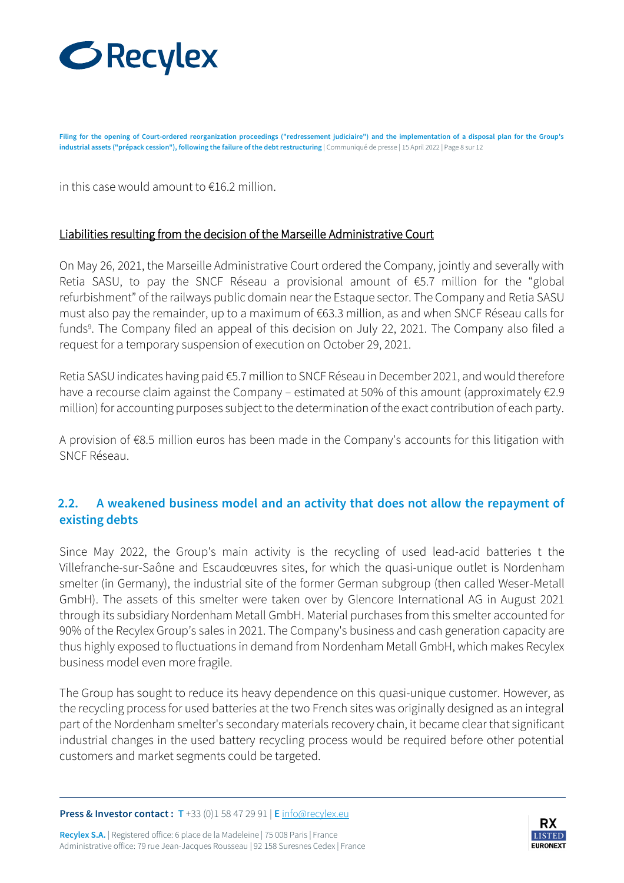

**Filing for the opening of Court-ordered reorganization proceedings ("redressement judiciaire") and the implementation of a disposal plan for the Group's industrial assets ("prépack cession"), following the failure of the debt restructuring** | Communiqué de presse | 15 April 2022 | Page 8 sur 12

in this case would amount to €16.2 million.

#### Liabilities resulting from the decision of the Marseille Administrative Court

On May 26, 2021, the Marseille Administrative Court ordered the Company, jointly and severally with Retia SASU, to pay the SNCF Réseau a provisional amount of €5.7 million for the "global refurbishment" of the railways public domain near the Estaque sector. The Company and Retia SASU must also pay the remainder, up to a maximum of €63.3 million, as and when SNCF Réseau calls for funds<sup>9</sup>. The Company filed an appeal of this decision on July 22, 2021. The Company also filed a request for a temporary suspension of execution on October 29, 2021.

Retia SASU indicates having paid €5.7 million to SNCF Réseau in December 2021, and would therefore have a recourse claim against the Company – estimated at 50% of this amount (approximately €2.9 million) for accounting purposes subject to the determination of the exact contribution of each party.

A provision of €8.5 million euros has been made in the Company's accounts for this litigation with SNCF Réseau.

## **2.2. A weakened business model and an activity that does not allow the repayment of existing debts**

Since May 2022, the Group's main activity is the recycling of used lead-acid batteries t the Villefranche-sur-Saône and Escaudœuvres sites, for which the quasi-unique outlet is Nordenham smelter (in Germany), the industrial site of the former German subgroup (then called Weser-Metall GmbH). The assets of this smelter were taken over by Glencore International AG in August 2021 through its subsidiary Nordenham Metall GmbH. Material purchases from this smelter accounted for 90% of the Recylex Group's sales in 2021. The Company's business and cash generation capacity are thus highly exposed to fluctuations in demand from Nordenham Metall GmbH, which makes Recylex business model even more fragile.

The Group has sought to reduce its heavy dependence on this quasi-unique customer. However, as the recycling process for used batteries at the two French sites was originally designed as an integral part of the Nordenham smelter's secondary materials recovery chain, it became clear that significant industrial changes in the used battery recycling process would be required before other potential customers and market segments could be targeted.

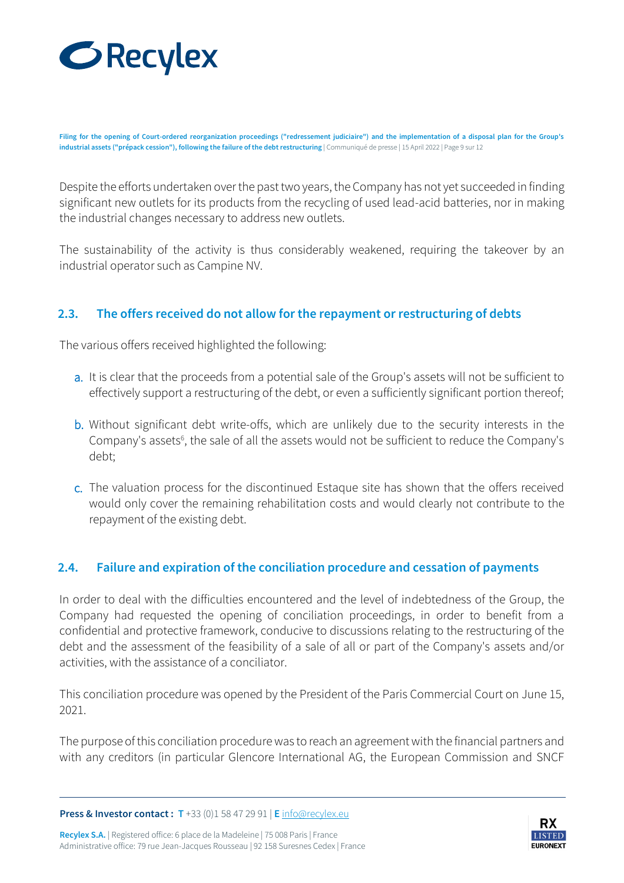

**Filing for the opening of Court-ordered reorganization proceedings ("redressement judiciaire") and the implementation of a disposal plan for the Group's industrial assets ("prépack cession"), following the failure of the debt restructuring** | Communiqué de presse | 15 April 2022 | Page 9 sur 12

Despite the efforts undertaken over the past two years, the Company has not yet succeeded in finding significant new outlets for its products from the recycling of used lead-acid batteries, nor in making the industrial changes necessary to address new outlets.

The sustainability of the activity is thus considerably weakened, requiring the takeover by an industrial operator such as Campine NV.

## **2.3. The offers received do not allow for the repayment or restructuring of debts**

The various offers received highlighted the following:

- a. It is clear that the proceeds from a potential sale of the Group's assets will not be sufficient to effectively support a restructuring of the debt, or even a sufficiently significant portion thereof;
- b. Without significant debt write-offs, which are unlikely due to the security interests in the Company's assets<sup>6</sup>, the sale of all the assets would not be sufficient to reduce the Company's debt;
- c. The valuation process for the discontinued Estaque site has shown that the offers received would only cover the remaining rehabilitation costs and would clearly not contribute to the repayment of the existing debt.

## **2.4. Failure and expiration of the conciliation procedure and cessation of payments**

In order to deal with the difficulties encountered and the level of indebtedness of the Group, the Company had requested the opening of conciliation proceedings, in order to benefit from a confidential and protective framework, conducive to discussions relating to the restructuring of the debt and the assessment of the feasibility of a sale of all or part of the Company's assets and/or activities, with the assistance of a conciliator.

This conciliation procedure was opened by the President of the Paris Commercial Court on June 15, 2021.

The purpose of this conciliation procedure was to reach an agreement with the financial partners and with any creditors (in particular Glencore International AG, the European Commission and SNCF

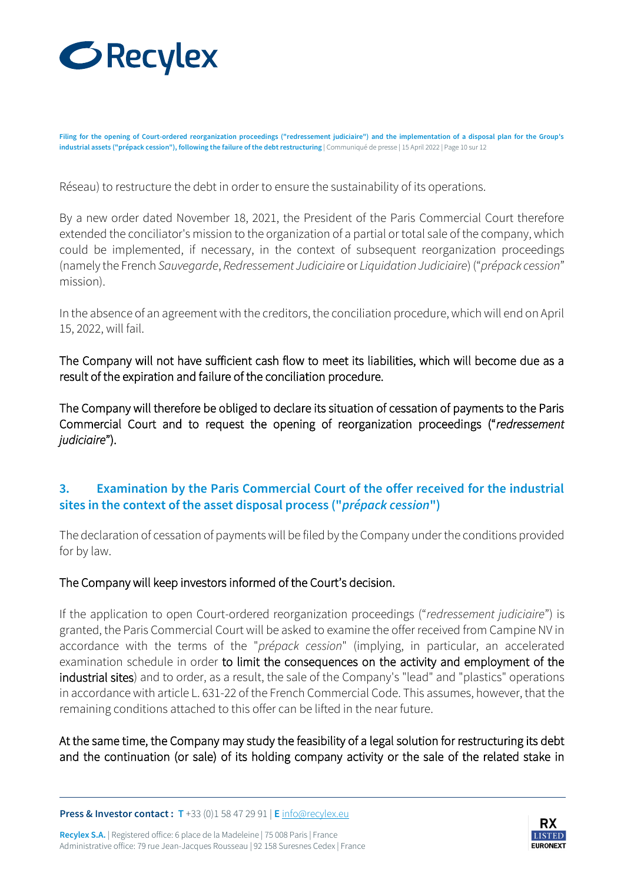

**Filing for the opening of Court-ordered reorganization proceedings ("redressement judiciaire") and the implementation of a disposal plan for the Group's industrial assets ("prépack cession"), following the failure of the debt restructuring** | Communiqué de presse | 15 April 2022 | Page 10 sur 12

Réseau) to restructure the debt in order to ensure the sustainability of its operations.

By a new order dated November 18, 2021, the President of the Paris Commercial Court therefore extended the conciliator's mission to the organization of a partial or total sale of the company, which could be implemented, if necessary, in the context of subsequent reorganization proceedings (namely the French *Sauvegarde*, *Redressement Judiciaire* or *Liquidation Judiciaire*) ("*prépack cession*" mission).

In the absence of an agreement with the creditors, the conciliation procedure, which will end on April 15, 2022, will fail.

The Company will not have sufficient cash flow to meet its liabilities, which will become due as a result of the expiration and failure of the conciliation procedure.

The Company will therefore be obliged to declare its situation of cessation of payments to the Paris Commercial Court and to request the opening of reorganization proceedings ("*redressement judiciaire*").

## **3. Examination by the Paris Commercial Court of the offer received for the industrial sites in the context of the asset disposal process ("***prépack cession***")**

The declaration of cessation of payments will be filed by the Company under the conditions provided for by law.

#### The Company will keep investors informed of the Court's decision.

If the application to open Court-ordered reorganization proceedings ("*redressement judiciaire*") is granted, the Paris Commercial Court will be asked to examine the offer received from Campine NV in accordance with the terms of the "*prépack cession*" (implying, in particular, an accelerated examination schedule in order to limit the consequences on the activity and employment of the industrial sites) and to order, as a result, the sale of the Company's "lead" and "plastics" operations in accordance with article L. 631-22 of the French Commercial Code. This assumes, however, that the remaining conditions attached to this offer can be lifted in the near future.

At the same time, the Company may study the feasibility of a legal solution for restructuring its debt and the continuation (or sale) of its holding company activity or the sale of the related stake in

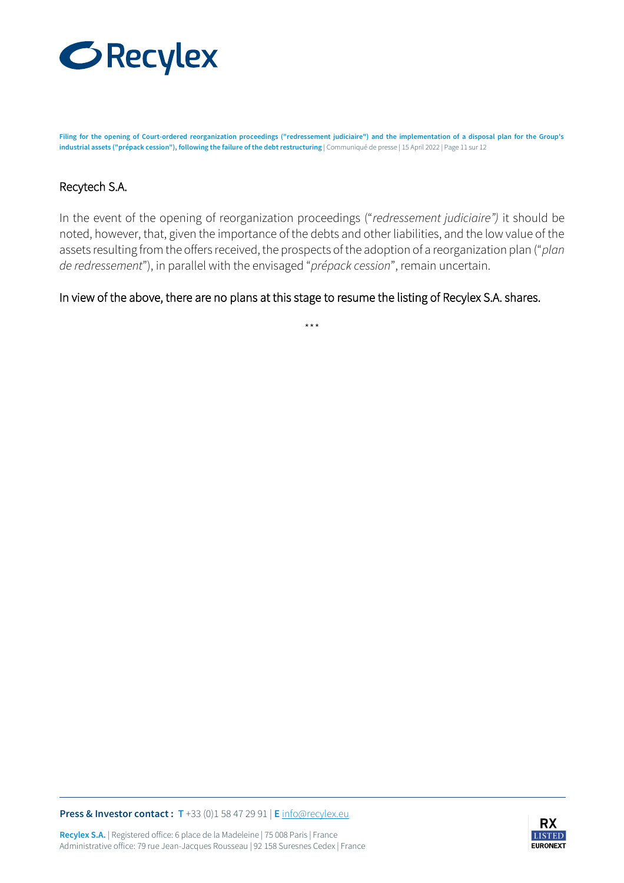

**Filing for the opening of Court-ordered reorganization proceedings ("redressement judiciaire") and the implementation of a disposal plan for the Group's industrial assets ("prépack cession"), following the failure of the debt restructuring** | Communiqué de presse | 15 April 2022 | Page 11 sur 12

#### Recytech S.A.

In the event of the opening of reorganization proceedings ("*redressement judiciaire")* it should be noted, however, that, given the importance of the debts and other liabilities, and the low value of the assets resulting from the offers received, the prospects of the adoption of a reorganization plan ("*plan de redressement*"), in parallel with the envisaged "*prépack cession*", remain uncertain.

In view of the above, there are no plans at this stage to resume the listing of Recylex S.A. shares.

\*\*\*